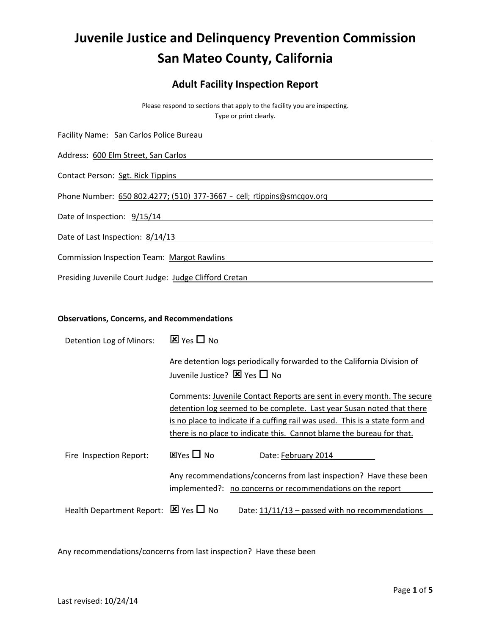# **Juvenile Justice and Delinquency Prevention Commission San Mateo County, California**

# **Adult Facility Inspection Report**

Please respond to sections that apply to the facility you are inspecting. Type or print clearly.

| Facility Name: San Carlos Police Bureau                                |  |  |  |
|------------------------------------------------------------------------|--|--|--|
| Address: 600 Elm Street, San Carlos                                    |  |  |  |
| Contact Person: Sgt. Rick Tippins                                      |  |  |  |
| Phone Number: 650 802.4277; (510) 377-3667 - cell; rtippins@smcgov.org |  |  |  |
| Date of Inspection: 9/15/14                                            |  |  |  |
| Date of Last Inspection: 8/14/13                                       |  |  |  |
| <b>Commission Inspection Team: Margot Rawlins</b>                      |  |  |  |
| Presiding Juvenile Court Judge: Judge Clifford Cretan                  |  |  |  |

#### **Observations, Concerns, and Recommendations**

| Detention Log of Minors:                            | $\overline{\mathbf{x}}$ Yes $\Box$ No                                                                                                                                                                                                                                                                    |
|-----------------------------------------------------|----------------------------------------------------------------------------------------------------------------------------------------------------------------------------------------------------------------------------------------------------------------------------------------------------------|
|                                                     | Are detention logs periodically forwarded to the California Division of<br>Juvenile Justice? $\boxtimes$ Yes $\Box$ No                                                                                                                                                                                   |
|                                                     | Comments: Juvenile Contact Reports are sent in every month. The secure<br>detention log seemed to be complete. Last year Susan noted that there<br>is no place to indicate if a cuffing rail was used. This is a state form and<br>there is no place to indicate this. Cannot blame the bureau for that. |
| Fire Inspection Report:                             | $\boxtimes$ Yes $\Box$ No<br>Date: February 2014                                                                                                                                                                                                                                                         |
|                                                     | Any recommendations/concerns from last inspection? Have these been<br>implemented?: no concerns or recommendations on the report                                                                                                                                                                         |
| Health Department Report: $\boxtimes$ Yes $\Box$ No | Date: $11/11/13$ – passed with no recommendations                                                                                                                                                                                                                                                        |

Any recommendations/concerns from last inspection? Have these been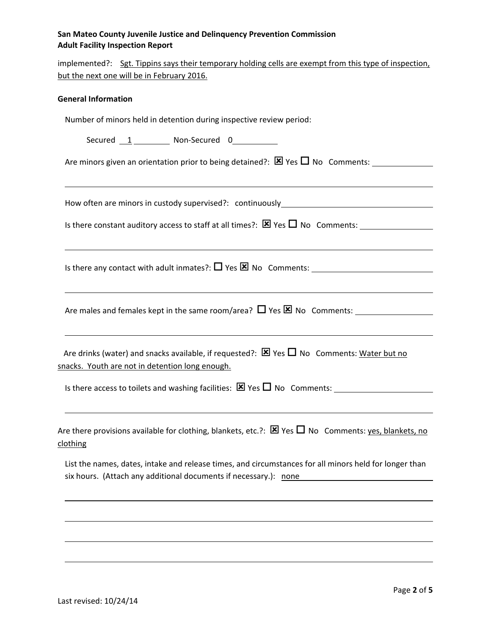## **San Mateo County Juvenile Justice and Delinquency Prevention Commission Adult Facility Inspection Report**

implemented?: Sgt. Tippins says their temporary holding cells are exempt from this type of inspection, but the next one will be in February 2016.

<u> 1989 - Johann Stoff, deutscher Stoffen und der Stoffen und der Stoffen und der Stoffen und der Stoffen und d</u>

#### **General Information**

Number of minors held in detention during inspective review period:

Secured 1 Non‐Secured 0

Are minors given an orientation prior to being detained?:  $\boxtimes$  Yes  $\Box$  No Comments:

How often are minors in custody supervised?: continuously

Is there constant auditory access to staff at all times?:  $\boxtimes$  Yes  $\Box$  No Comments:

Is there any contact with adult inmates?:  $\Box$  Yes  $\boxtimes$  No Comments: \_\_\_\_\_\_\_\_

Are males and females kept in the same room/area?  $\Box$  Yes  $\boxtimes$  No Comments:

Are drinks (water) and snacks available, if requested?:  $\boxtimes$  Yes  $\Box$  No Comments: Water but no snacks. Youth are not in detention long enough.

Is there access to toilets and washing facilities:  $\boxtimes$  Yes  $\Box$  No Comments:

Are there provisions available for clothing, blankets, etc.?:  $\boxtimes$  Yes  $\Box$  No Comments: yes, blankets, no clothing

List the names, dates, intake and release times, and circumstances for all minors held for longer than six hours. (Attach any additional documents if necessary.): none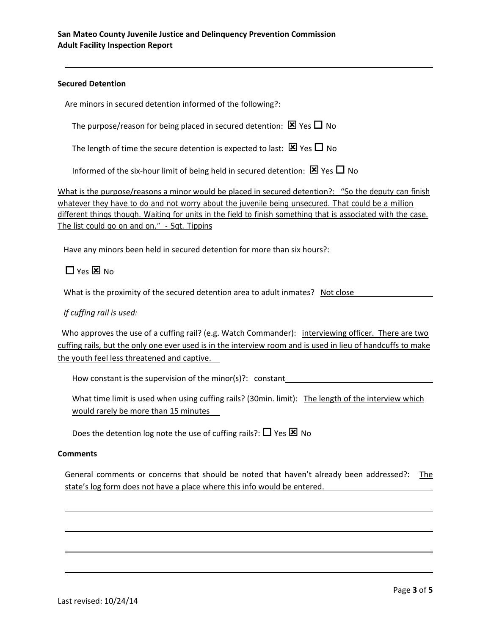#### **Secured Detention**

Are minors in secured detention informed of the following?:

The purpose/reason for being placed in secured detention:  $\boxtimes$  Yes  $\Box$  No

The length of time the secure detention is expected to last:  $\boxtimes$  Yes  $\Box$  No

Informed of the six-hour limit of being held in secured detention:  $\boxtimes$  Yes  $\Box$  No

What is the purpose/reasons a minor would be placed in secured detention?: "So the deputy can finish whatever they have to do and not worry about the juvenile being unsecured. That could be a million different things though. Waiting for units in the field to finish something that is associated with the case. The list could go on and on." - Sgt. Tippins

Have any minors been held in secured detention for more than six hours?:

 $\Box$  Yes  $\boxtimes$  No

What is the proximity of the secured detention area to adult inmates? Not close

## *If cuffing rail is used:*

Who approves the use of a cuffing rail? (e.g. Watch Commander): interviewing officer. There are two cuffing rails, but the only one ever used is in the interview room and is used in lieu of handcuffs to make the youth feel less threatened and captive.

How constant is the supervision of the minor(s)?: constant

What time limit is used when using cuffing rails? (30min. limit): The length of the interview which would rarely be more than 15 minutes

Does the detention log note the use of cuffing rails?:  $\Box$  Yes  $\boxtimes$  No

#### **Comments**

General comments or concerns that should be noted that haven't already been addressed?: The state's log form does not have a place where this info would be entered.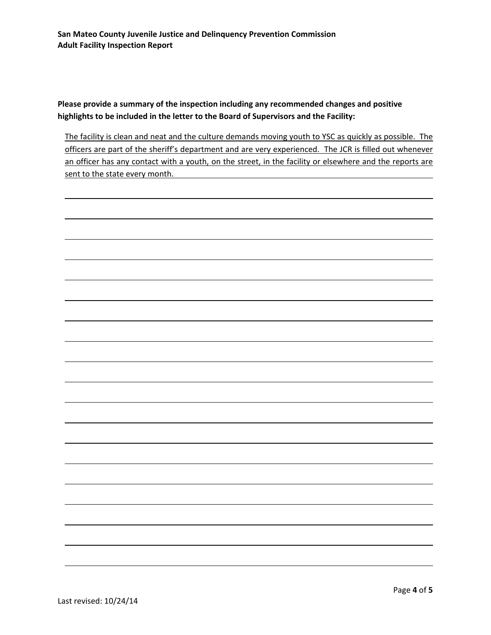**Please provide a summary of the inspection including any recommended changes and positive highlights to be included in the letter to the Board of Supervisors and the Facility:**

The facility is clean and neat and the culture demands moving youth to YSC as quickly as possible. The officers are part of the sheriff's department and are very experienced. The JCR is filled out whenever an officer has any contact with a youth, on the street, in the facility or elsewhere and the reports are sent to the state every month.